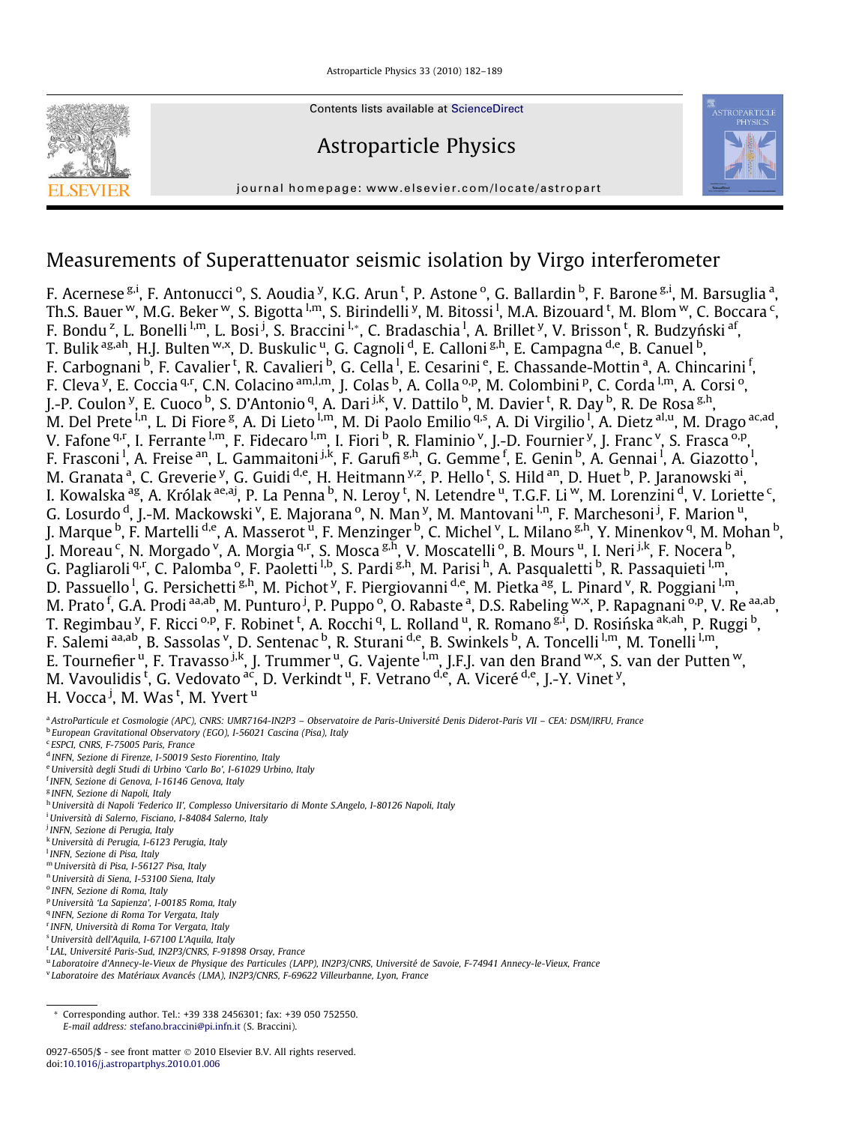

Contents lists available at [ScienceDirect](http://www.sciencedirect.com/science/journal/09276505)

# Astroparticle Physics



journal homepage: [www.elsevier.com/locate/astropart](http://www.elsevier.com/locate/astropart)

# Measurements of Superattenuator seismic isolation by Virgo interferometer

F. Acernese <sup>g,i</sup>, F. Antonucci <sup>o</sup>, S. Aoudia <sup>y</sup>, K.G. Arun <sup>t</sup>, P. Astone <sup>o</sup>, G. Ballardin <sup>b</sup>, F. Barone <sup>g,i</sup>, M. Barsuglia <sup>a</sup>, Th.S. Bauer <sup>w</sup>, M.G. Beker <sup>w</sup>, S. Bigotta <sup>l,m</sup>, S. Birindelli <sup>y</sup>, M. Bitossi <sup>l</sup>, M.A. Bizouard <sup>t</sup>, M. Blom <sup>w</sup>, C. Boccara <sup>c</sup>, F. Bondu <sup>z</sup>, L. Bonelli <sup>l,m</sup>, L. Bosi <sup>j</sup>, S. Braccini <sup>l,</sup>\*, C. Bradaschia <sup>l</sup>, A. Brillet <sup>y</sup>, V. Brisson <sup>t</sup>, R. Budzyński <sup>af</sup>, T. Bulik <sup>ag,ah</sup>, H.J. Bulten <sup>w,x</sup>, D. Buskulic <sup>u</sup>, G. Cagnoli <sup>d</sup>, E. Calloni <sup>g,h</sup>, E. Campagna <sup>d,e</sup>, B. Canuel <sup>b</sup>, F. Carbognani <sup>b</sup>, F. Cavalier <sup>t</sup>, R. Cavalieri <sup>b</sup>, G. Cella <sup>l</sup>, E. Cesarini <sup>e</sup>, E. Chassande-Mottin <sup>a</sup>, A. Chincarini <sup>f</sup>, F. Cleva <sup>y</sup>, E. Coccia <sup>q.r</sup>, C.N. Colacino <sup>am,I,m</sup>, J. Colas <sup>b</sup>, A. Colla <sup>0,p</sup>, M. Colombini <sup>p</sup>, C. Corda <sup>I,m</sup>, A. Corsi <sup>o</sup>, J.-P. Coulon <sup>y</sup>, E. Cuoco <sup>b</sup>, S. D'Antonio <sup>q</sup>, A. Dari <sup>j,k</sup>, V. Dattilo <sup>b</sup>, M. Davier <sup>t</sup>, R. Day <sup>b</sup>, R. De Rosa <sup>g,h</sup>, M. Del Prete <sup>l,n</sup>, L. Di Fiore <sup>g</sup>, A. Di Lieto <sup>l,m</sup>, M. Di Paolo Emilio <sup>q,s</sup>, A. Di Virgilio <sup>l</sup>, A. Dietz <sup>al,u</sup>, M. Drago <sup>ac,ad</sup>, V. Fafone <sup>q,r</sup>, I. Ferrante <sup>l,m</sup>, F. Fidecaro <sup>l,m</sup>, I. Fiori <sup>b</sup>, R. Flaminio <sup>v</sup>, J.-D. Fournier <sup>y</sup>, J. Franc <sup>v</sup>, S. Frasca <sup>o,p</sup>, F. Frasconi <sup>I</sup>, A. Freise <sup>an</sup>, L. Gammaitoni <sup>j,k</sup>, F. Garufi <sup>g,h</sup>, G. Gemme <sup>f</sup>, E. Genin <sup>b</sup>, A. Gennai <sup>l</sup>, A. Giazotto <sup>l</sup>, M. Granataª, C. Greverie <sup>y</sup>, G. Guidi <sup>d,e</sup>, H. Heitmann <sup>y,z</sup>, P. Hello <sup>t</sup>, S. Hild <sup>an</sup>, D. Huet <sup>b</sup>, P. Jaranowski <sup>ai</sup>, I. Kowalska <sup>ag</sup>, A. Królak <sup>ae,aj</sup>, P. La Penna <sup>b</sup>, N. Leroy <sup>t</sup>, N. Letendre <sup>u</sup>, T.G.F. Li <sup>w</sup>, M. Lorenzini <sup>d</sup>, V. Loriette <sup>c</sup>, G. Losurdo <sup>d</sup>, J.-M. Mackowski <sup>v</sup>, E. Majorana <sup>o</sup>, N. Man <sup>y</sup>, M. Mantovani <sup>l,n</sup>, F. Marchesoni <sup>j</sup>, F. Marion <sup>u</sup>, J. Marque <sup>b</sup>, F. Martelli <sup>d.e</sup>, A. Masserot <sup>u</sup>, F. Menzinger <sup>b</sup>, C. Michel <sup>v</sup>, L. Milano <sup>g.h</sup>, Y. Minenkov <sup>q</sup>, M. Mohan <sup>b</sup>, J. Moreau <sup>c</sup>, N. Morgado <sup>v</sup>, A. Morgia <sup>q,r</sup>, S. Mosca <sup>g,h</sup>, V. Moscatelli <sup>o</sup>, B. Mours <sup>u</sup>, I. Neri <sup>j,k</sup>, F. Nocera <sup>b</sup>, G. Pagliaroli <sup>q,r</sup>, C. Palomba <sup>o</sup>, F. Paoletti <sup>l,b</sup>, S. Pardi <sup>g,h</sup>, M. Parisi <sup>h</sup>, A. Pasqualetti <sup>b</sup>, R. Passaquieti <sup>l,m</sup>, D. Passuello <sup>l</sup>, G. Persichetti <sup>g,h</sup>, M. Pichot <sup>y</sup>, F. Piergiovanni <sup>d,e</sup>, M. Pietka <sup>ag</sup>, L. Pinard <sup>v</sup>, R. Poggiani <sup>l,m</sup>, M. Prato <sup>f</sup>, G.A. Prodi <sup>aa,ab</sup>, M. Punturo <sup>j</sup>, P. Puppo <sup>o</sup>, O. Rabaste <sup>a</sup>, D.S. Rabeling <sup>w,x</sup>, P. Rapagnani <sup>o,p</sup>, V. Re <sup>aa,ab</sup>, T. Regimbau <sup>y</sup>, F. Ricci <sup>o,p</sup>, F. Robinet <sup>t</sup>, A. Rocchi <sup>q</sup>, L. Rolland <sup>u</sup>, R. Romano <sup>g,ī</sup>, D. Rosińska <sup>ak,ah</sup>, P. Ruggi <sup>b</sup>, F. Salemi <sup>aa,ab</sup>, B. Sassolas <sup>v</sup>, D. Sentenac <sup>b</sup>, R. Sturani <sup>d,e</sup>, B. Swinkels <sup>b</sup>, A. Toncelli <sup>l,m</sup>, M. Tonelli <sup>l,m</sup>, E. Tournefier <sup>u</sup>, F. Travasso <sup>j,k</sup>, J. Trummer <sup>u</sup>, G. Vajente <sup>l,m</sup>, J.F.J. van den Brand <sup>w,x</sup>, S. van der Putten <sup>w</sup>, M. Vavoulidis <sup>t</sup>, G. Vedovato <sup>ac</sup>, D. Verkindt <sup>u</sup>, F. Vetrano <sup>d,e</sup>, A. Viceré <sup>d,e</sup>, J.-Y. Vinet <sup>y</sup>, H. Vocca <sup>j</sup>, M. Was <sup>t</sup>, M. Yvert <sup>u</sup>

<sup>a</sup> AstroParticule et Cosmologie (APC), CNRS: UMR7164-IN2P3 – Observatoire de Paris-Université Denis Diderot-Paris VII – CEA: DSM/IRFU, France

- <sup>b</sup> European Gravitational Observatory (EGO), I-56021 Cascina (Pisa), Italy
- <sup>c</sup> ESPCI, CNRS, F-75005 Paris, France
- <sup>d</sup> INFN, Sezione di Firenze, I-50019 Sesto Fiorentino, Italy
- <sup>e</sup>Università degli Studi di Urbino 'Carlo Bo', I-61029 Urbino, Italy
- f INFN, Sezione di Genova, I-16146 Genova, Italy
- <sup>g</sup> INFN, Sezione di Napoli, Italy
- h Università di Napoli 'Federico II', Complesso Universitario di Monte S.Angelo, I-80126 Napoli, Italy
- <sup>i</sup> Università di Salerno, Fisciano, I-84084 Salerno, Italy
- <sup>j</sup> INFN, Sezione di Perugia, Italy
- <sup>k</sup>Università di Perugia, I-6123 Perugia, Italy
- <sup>l</sup> INFN, Sezione di Pisa, Italy
- <sup>m</sup> Università di Pisa, I-56127 Pisa, Italy
- <sup>n</sup>Università di Siena, I-53100 Siena, Italy
- <sup>o</sup> INFN, Sezione di Roma, Italy
- <sup>p</sup>Università 'La Sapienza', I-00185 Roma, Italy
- <sup>q</sup> INFN, Sezione di Roma Tor Vergata, Italy
- <sup>r</sup> INFN, Università di Roma Tor Vergata, Italy
- s Università dell'Aquila, I-67100 L'Aquila, Italy
- t LAL, Université Paris-Sud, IN2P3/CNRS, F-91898 Orsay, France
- <sup>u</sup> Laboratoire d'Annecy-le-Vieux de Physique des Particules (LAPP), IN2P3/CNRS, Université de Savoie, F-74941 Annecy-le-Vieux, France
- <sup>v</sup> Laboratoire des Matériaux Avancés (LMA), IN2P3/CNRS, F-69622 Villeurbanne, Lyon, France

\* Corresponding author. Tel.: +39 338 2456301; fax: +39 050 752550. E-mail address: [stefano.braccini@pi.infn.it](mailto:stefano.braccini@pi.infn.it) (S. Braccini).

<sup>0927-6505/\$ -</sup> see front matter © 2010 Elsevier B.V. All rights reserved. doi:[10.1016/j.astropartphys.2010.01.006](http://dx.doi.org/10.1016/j.astropartphys.2010.01.006)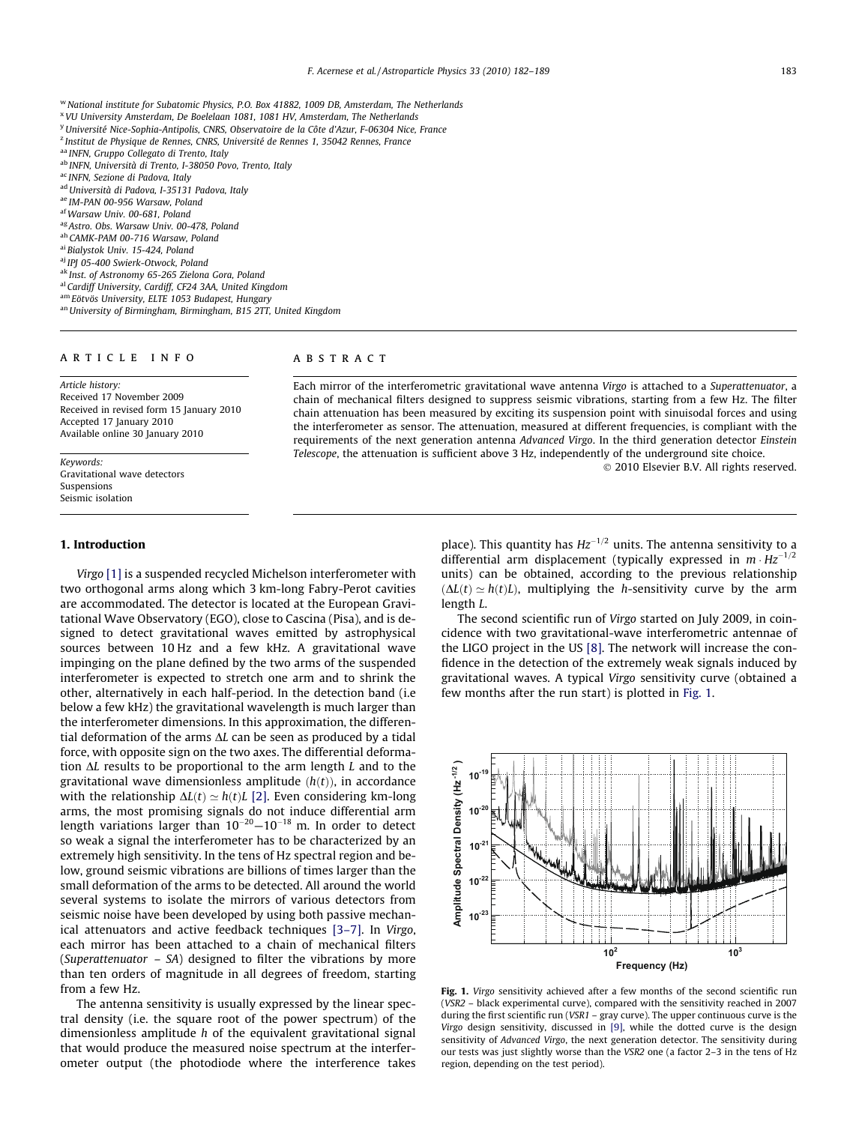<span id="page-1-0"></span><sup>w</sup> National institute for Subatomic Physics, P.O. Box 41882, 1009 DB, Amsterdam, The Netherlands

<sup>x</sup> VU University Amsterdam, De Boelelaan 1081, 1081 HV, Amsterdam, The Netherlands

<sup>y</sup> Université Nice-Sophia-Antipolis, CNRS, Observatoire de la Côte d'Azur, F-06304 Nice, France

<sup>z</sup> Institut de Physique de Rennes, CNRS, Université de Rennes 1, 35042 Rennes, France

aa INFN, Gruppo Collegato di Trento, Italy

- ab INFN, Università di Trento, I-38050 Povo, Trento, Italy
- ac INFN, Sezione di Padova, Italy

ad Università di Padova, I-35131 Padova, Italy

ae IM-PAN 00-956 Warsaw, Poland

af Warsaw Univ. 00-681, Poland

ag Astro. Obs. Warsaw Univ. 00-478. Poland

ah CAMK-PAM 00-716 Warsaw, Poland

ai Bialystok Univ. 15-424, Poland

aj IPJ 05-400 Swierk-Otwock, Poland

ak Inst. of Astronomy 65-265 Zielona Gora, Poland

al Cardiff University, Cardiff, CF24 3AA, United Kingdom

am Eötvös University, ELTE 1053 Budapest, Hungary

an University of Birmingham, Birmingham, B15 2TT, United Kingdom

#### article info

Article history: Received 17 November 2009 Received in revised form 15 January 2010 Accepted 17 January 2010 Available online 30 January 2010

Keywords: Gravitational wave detectors Suspensions Seismic isolation

### 1. Introduction

Virgo [\[1\]](#page-6-0) is a suspended recycled Michelson interferometer with two orthogonal arms along which 3 km-long Fabry-Perot cavities are accommodated. The detector is located at the European Gravitational Wave Observatory (EGO), close to Cascina (Pisa), and is designed to detect gravitational waves emitted by astrophysical sources between 10 Hz and a few kHz. A gravitational wave impinging on the plane defined by the two arms of the suspended interferometer is expected to stretch one arm and to shrink the other, alternatively in each half-period. In the detection band (i.e below a few kHz) the gravitational wavelength is much larger than the interferometer dimensions. In this approximation, the differential deformation of the arms  $\Delta L$  can be seen as produced by a tidal force, with opposite sign on the two axes. The differential deformation  $\Delta L$  results to be proportional to the arm length  $L$  and to the gravitational wave dimensionless amplitude  $(h(t))$ , in accordance with the relationship  $\Delta L(t) \simeq h(t)L$  [\[2\]](#page-6-0). Even considering km-long arms, the most promising signals do not induce differential arm length variations larger than 10<sup>-20</sup> $-10^{-18}$  m. In order to detect so weak a signal the interferometer has to be characterized by an extremely high sensitivity. In the tens of Hz spectral region and below, ground seismic vibrations are billions of times larger than the small deformation of the arms to be detected. All around the world several systems to isolate the mirrors of various detectors from seismic noise have been developed by using both passive mechanical attenuators and active feedback techniques [\[3–7\]](#page-6-0). In Virgo, each mirror has been attached to a chain of mechanical filters (Superattenuator – SA) designed to filter the vibrations by more than ten orders of magnitude in all degrees of freedom, starting from a few Hz.

The antenna sensitivity is usually expressed by the linear spectral density (i.e. the square root of the power spectrum) of the dimensionless amplitude h of the equivalent gravitational signal that would produce the measured noise spectrum at the interferometer output (the photodiode where the interference takes

### **ABSTRACT**

Each mirror of the interferometric gravitational wave antenna Virgo is attached to a Superattenuator, a chain of mechanical filters designed to suppress seismic vibrations, starting from a few Hz. The filter chain attenuation has been measured by exciting its suspension point with sinuisodal forces and using the interferometer as sensor. The attenuation, measured at different frequencies, is compliant with the requirements of the next generation antenna Advanced Virgo. In the third generation detector Einstein Telescope, the attenuation is sufficient above 3 Hz, independently of the underground site choice. - 2010 Elsevier B.V. All rights reserved.

> place). This quantity has  $Hz^{-1/2}$  units. The antenna sensitivity to a differential arm displacement (typically expressed in  $m \cdot Hz^{-1/2}$ units) can be obtained, according to the previous relationship  $(\Delta L(t) \simeq h(t)L)$ , multiplying the h-sensitivity curve by the arm length L.

> The second scientific run of Virgo started on July 2009, in coincidence with two gravitational-wave interferometric antennae of the LIGO project in the US [\[8\].](#page-6-0) The network will increase the confidence in the detection of the extremely weak signals induced by gravitational waves. A typical Virgo sensitivity curve (obtained a few months after the run start) is plotted in Fig. 1.



Fig. 1. Virgo sensitivity achieved after a few months of the second scientific run (VSR2 – black experimental curve), compared with the sensitivity reached in 2007 during the first scientific run (VSR1 – gray curve). The upper continuous curve is the Virgo design sensitivity, discussed in [\[9\],](#page-6-0) while the dotted curve is the design sensitivity of Advanced Virgo, the next generation detector. The sensitivity during our tests was just slightly worse than the VSR2 one (a factor 2–3 in the tens of Hz region, depending on the test period).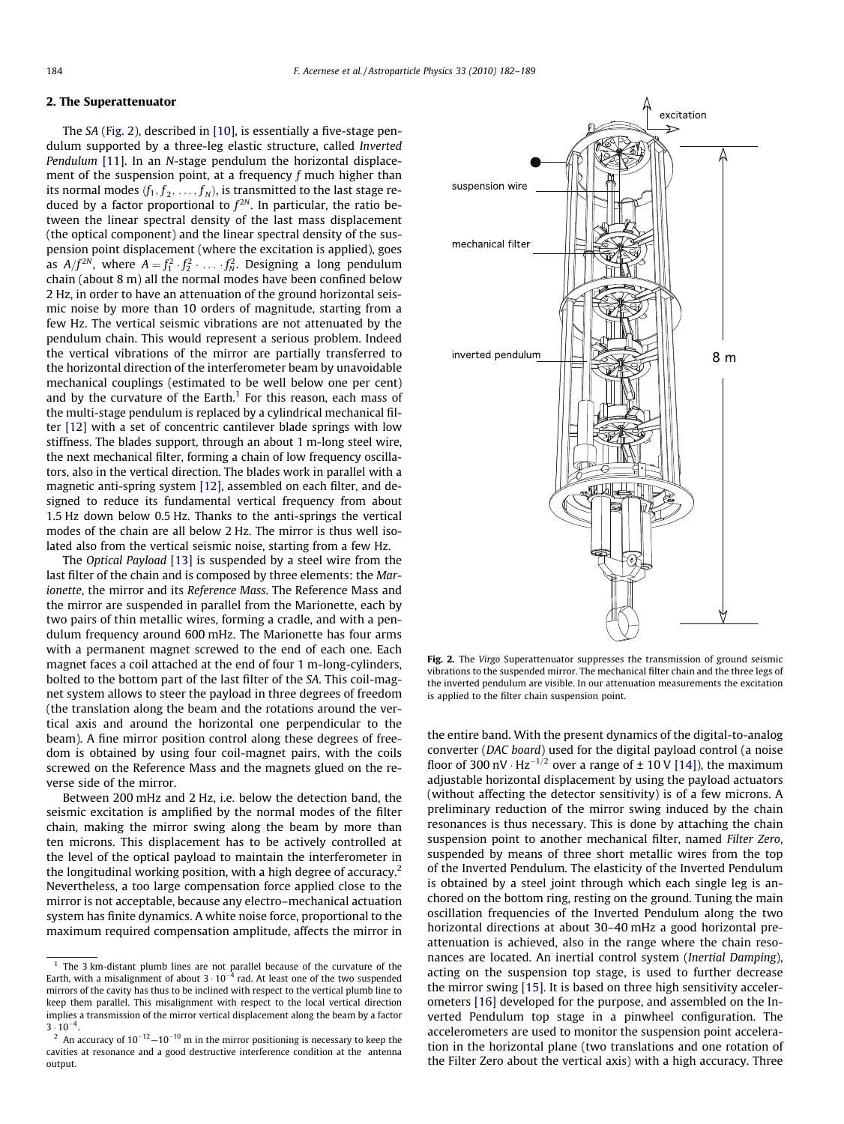# 2. The Superattenuator

The SA (Fig. 2), described in [\[10\],](#page-6-0) is essentially a five-stage pendulum supported by a three-leg elastic structure, called Inverted Pendulum [\[11\].](#page-6-0) In an N-stage pendulum the horizontal displacement of the suspension point, at a frequency  $f$  much higher than its normal modes  $(f_1, f_2, \ldots, f_N)$ , is transmitted to the last stage reduced by a factor proportional to  $f^{2N}$ . In particular, the ratio between the linear spectral density of the last mass displacement (the optical component) and the linear spectral density of the suspension point displacement (where the excitation is applied), goes as  $A/f^{2N}$ , where  $A = f_1^2 \cdot f_2^2 \cdot \ldots \cdot f_N^2$ . Designing a long pendulum chain (about 8 m) all the normal modes have been confined below 2 Hz, in order to have an attenuation of the ground horizontal seismic noise by more than 10 orders of magnitude, starting from a few Hz. The vertical seismic vibrations are not attenuated by the pendulum chain. This would represent a serious problem. Indeed the vertical vibrations of the mirror are partially transferred to the horizontal direction of the interferometer beam by unavoidable mechanical couplings (estimated to be well below one per cent) and by the curvature of the Earth. $1$  For this reason, each mass of the multi-stage pendulum is replaced by a cylindrical mechanical filter [\[12\]](#page-6-0) with a set of concentric cantilever blade springs with low stiffness. The blades support, through an about 1 m-long steel wire, the next mechanical filter, forming a chain of low frequency oscillators, also in the vertical direction. The blades work in parallel with a magnetic anti-spring system [\[12\]](#page-6-0), assembled on each filter, and designed to reduce its fundamental vertical frequency from about 1.5 Hz down below 0.5 Hz. Thanks to the anti-springs the vertical modes of the chain are all below 2 Hz. The mirror is thus well isolated also from the vertical seismic noise, starting from a few Hz.

The Optical Payload [\[13\]](#page-6-0) is suspended by a steel wire from the last filter of the chain and is composed by three elements: the Marionette, the mirror and its Reference Mass. The Reference Mass and the mirror are suspended in parallel from the Marionette, each by two pairs of thin metallic wires, forming a cradle, and with a pendulum frequency around 600 mHz. The Marionette has four arms with a permanent magnet screwed to the end of each one. Each magnet faces a coil attached at the end of four 1 m-long-cylinders, bolted to the bottom part of the last filter of the SA. This coil-magnet system allows to steer the payload in three degrees of freedom (the translation along the beam and the rotations around the vertical axis and around the horizontal one perpendicular to the beam). A fine mirror position control along these degrees of freedom is obtained by using four coil-magnet pairs, with the coils screwed on the Reference Mass and the magnets glued on the reverse side of the mirror.

Between 200 mHz and 2 Hz, i.e. below the detection band, the seismic excitation is amplified by the normal modes of the filter chain, making the mirror swing along the beam by more than ten microns. This displacement has to be actively controlled at the level of the optical payload to maintain the interferometer in the longitudinal working position, with a high degree of accuracy.<sup>2</sup> Nevertheless, a too large compensation force applied close to the mirror is not acceptable, because any electro–mechanical actuation system has finite dynamics. A white noise force, proportional to the maximum required compensation amplitude, affects the mirror in



Fig. 2. The Virgo Superattenuator suppresses the transmission of ground seismic vibrations to the suspended mirror. The mechanical filter chain and the three legs of the inverted pendulum are visible. In our attenuation measurements the excitation is applied to the filter chain suspension point.

the entire band. With the present dynamics of the digital-to-analog converter (DAC board) used for the digital payload control (a noise floor of 300 nV $\cdot$  Hz<sup>-1/2</sup> over a range of  $\pm$  10 V [\[14\]\)](#page-6-0), the maximum adjustable horizontal displacement by using the payload actuators (without affecting the detector sensitivity) is of a few microns. A preliminary reduction of the mirror swing induced by the chain resonances is thus necessary. This is done by attaching the chain suspension point to another mechanical filter, named Filter Zero, suspended by means of three short metallic wires from the top of the Inverted Pendulum. The elasticity of the Inverted Pendulum is obtained by a steel joint through which each single leg is anchored on the bottom ring, resting on the ground. Tuning the main oscillation frequencies of the Inverted Pendulum along the two horizontal directions at about 30–40 mHz a good horizontal preattenuation is achieved, also in the range where the chain resonances are located. An inertial control system (Inertial Damping), acting on the suspension top stage, is used to further decrease the mirror swing [\[15\].](#page-6-0) It is based on three high sensitivity accelerometers [\[16\]](#page-6-0) developed for the purpose, and assembled on the Inverted Pendulum top stage in a pinwheel configuration. The accelerometers are used to monitor the suspension point acceleration in the horizontal plane (two translations and one rotation of the Filter Zero about the vertical axis) with a high accuracy. Three

 $1$  The 3 km-distant plumb lines are not parallel because of the curvature of the Earth, with a misalignment of about  $3 \cdot 10^{-4}$  rad. At least one of the two suspended mirrors of the cavity has thus to be inclined with respect to the vertical plumb line to keep them parallel. This misalignment with respect to the local vertical direction implies a transmission of the mirror vertical displacement along the beam by a factor  $3 \cdot 10^{-4}$ .

<sup>&</sup>lt;sup>2</sup> An accuracy of  $10^{-12} - 10^{-10}$  m in the mirror positioning is necessary to keep the cavities at resonance and a good destructive interference condition at the antenna output.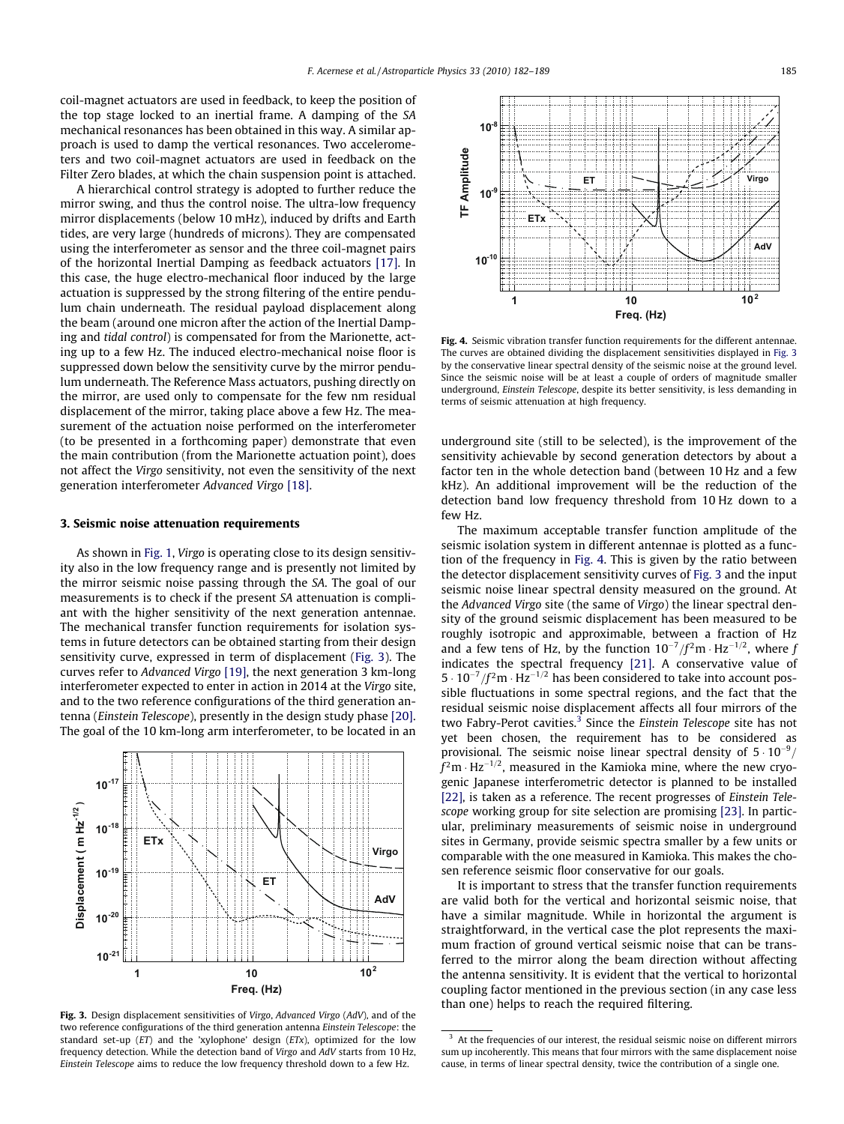<span id="page-3-0"></span>coil-magnet actuators are used in feedback, to keep the position of the top stage locked to an inertial frame. A damping of the SA mechanical resonances has been obtained in this way. A similar approach is used to damp the vertical resonances. Two accelerometers and two coil-magnet actuators are used in feedback on the Filter Zero blades, at which the chain suspension point is attached.

A hierarchical control strategy is adopted to further reduce the mirror swing, and thus the control noise. The ultra-low frequency mirror displacements (below 10 mHz), induced by drifts and Earth tides, are very large (hundreds of microns). They are compensated using the interferometer as sensor and the three coil-magnet pairs of the horizontal Inertial Damping as feedback actuators [\[17\].](#page-6-0) In this case, the huge electro-mechanical floor induced by the large actuation is suppressed by the strong filtering of the entire pendulum chain underneath. The residual payload displacement along the beam (around one micron after the action of the Inertial Damping and tidal control) is compensated for from the Marionette, acting up to a few Hz. The induced electro-mechanical noise floor is suppressed down below the sensitivity curve by the mirror pendulum underneath. The Reference Mass actuators, pushing directly on the mirror, are used only to compensate for the few nm residual displacement of the mirror, taking place above a few Hz. The measurement of the actuation noise performed on the interferometer (to be presented in a forthcoming paper) demonstrate that even the main contribution (from the Marionette actuation point), does not affect the Virgo sensitivity, not even the sensitivity of the next generation interferometer Advanced Virgo [\[18\]](#page-6-0).

## 3. Seismic noise attenuation requirements

As shown in [Fig. 1,](#page-1-0) Virgo is operating close to its design sensitivity also in the low frequency range and is presently not limited by the mirror seismic noise passing through the SA. The goal of our measurements is to check if the present SA attenuation is compliant with the higher sensitivity of the next generation antennae. The mechanical transfer function requirements for isolation systems in future detectors can be obtained starting from their design sensitivity curve, expressed in term of displacement (Fig. 3). The curves refer to Advanced Virgo [\[19\],](#page-6-0) the next generation 3 km-long interferometer expected to enter in action in 2014 at the Virgo site, and to the two reference configurations of the third generation antenna (Einstein Telescope), presently in the design study phase [\[20\].](#page-6-0) The goal of the 10 km-long arm interferometer, to be located in an



Fig. 3. Design displacement sensitivities of Virgo, Advanced Virgo (AdV), and of the two reference configurations of the third generation antenna Einstein Telescope: the standard set-up (ET) and the 'xylophone' design (ETx), optimized for the low frequency detection. While the detection band of Virgo and AdV starts from 10 Hz, Einstein Telescope aims to reduce the low frequency threshold down to a few Hz.



Fig. 4. Seismic vibration transfer function requirements for the different antennae. The curves are obtained dividing the displacement sensitivities displayed in Fig. 3 by the conservative linear spectral density of the seismic noise at the ground level. Since the seismic noise will be at least a couple of orders of magnitude smaller underground, Einstein Telescope, despite its better sensitivity, is less demanding in terms of seismic attenuation at high frequency.

underground site (still to be selected), is the improvement of the sensitivity achievable by second generation detectors by about a factor ten in the whole detection band (between 10 Hz and a few kHz). An additional improvement will be the reduction of the detection band low frequency threshold from 10 Hz down to a few Hz.

The maximum acceptable transfer function amplitude of the seismic isolation system in different antennae is plotted as a function of the frequency in Fig. 4. This is given by the ratio between the detector displacement sensitivity curves of Fig. 3 and the input seismic noise linear spectral density measured on the ground. At the Advanced Virgo site (the same of Virgo) the linear spectral density of the ground seismic displacement has been measured to be roughly isotropic and approximable, between a fraction of Hz and a few tens of Hz, by the function  $10^{-7}/f^2$ m  $\cdot$  Hz $^{-1/2}$ , where j indicates the spectral frequency [\[21\]](#page-7-0). A conservative value of  $5 \cdot 10^{-7}/f^2$ m $\cdot$  Hz $^{-1/2}$  has been considered to take into account possible fluctuations in some spectral regions, and the fact that the residual seismic noise displacement affects all four mirrors of the two Fabry-Perot cavities.<sup>3</sup> Since the Einstein Telescope site has not yet been chosen, the requirement has to be considered as provisional. The seismic noise linear spectral density of  $5 \cdot 10^{-9}$ /  $f^2$ m $\cdot$  Hz $^{-1/2}$ , measured in the Kamioka mine, where the new cryogenic Japanese interferometric detector is planned to be installed [\[22\],](#page-7-0) is taken as a reference. The recent progresses of Einstein Telescope working group for site selection are promising [\[23\].](#page-7-0) In particular, preliminary measurements of seismic noise in underground sites in Germany, provide seismic spectra smaller by a few units or comparable with the one measured in Kamioka. This makes the chosen reference seismic floor conservative for our goals.

It is important to stress that the transfer function requirements are valid both for the vertical and horizontal seismic noise, that have a similar magnitude. While in horizontal the argument is straightforward, in the vertical case the plot represents the maximum fraction of ground vertical seismic noise that can be transferred to the mirror along the beam direction without affecting the antenna sensitivity. It is evident that the vertical to horizontal coupling factor mentioned in the previous section (in any case less than one) helps to reach the required filtering.

 $3$  At the frequencies of our interest, the residual seismic noise on different mirrors sum up incoherently. This means that four mirrors with the same displacement noise cause, in terms of linear spectral density, twice the contribution of a single one.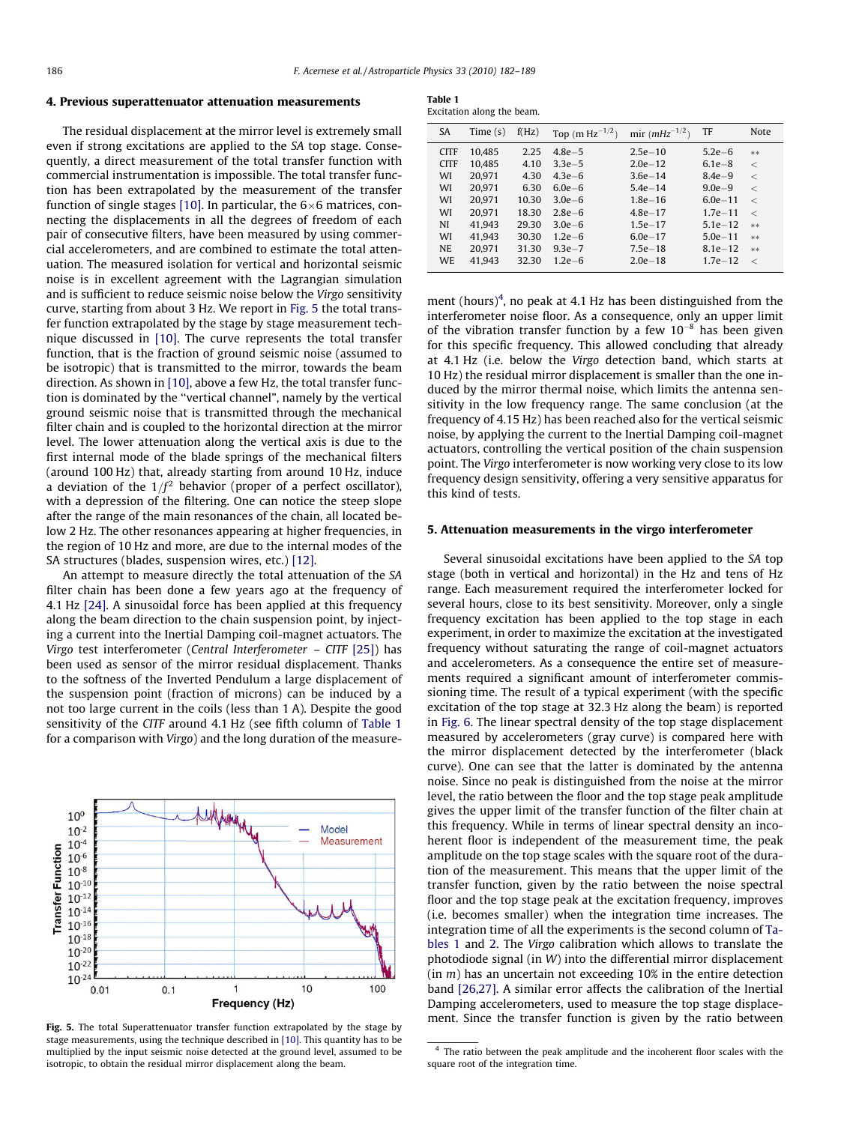## <span id="page-4-0"></span>4. Previous superattenuator attenuation measurements

The residual displacement at the mirror level is extremely small even if strong excitations are applied to the SA top stage. Consequently, a direct measurement of the total transfer function with commercial instrumentation is impossible. The total transfer function has been extrapolated by the measurement of the transfer function of single stages [\[10\]](#page-6-0). In particular, the  $6\times 6$  matrices, connecting the displacements in all the degrees of freedom of each pair of consecutive filters, have been measured by using commercial accelerometers, and are combined to estimate the total attenuation. The measured isolation for vertical and horizontal seismic noise is in excellent agreement with the Lagrangian simulation and is sufficient to reduce seismic noise below the Virgo sensitivity curve, starting from about 3 Hz. We report in Fig. 5 the total transfer function extrapolated by the stage by stage measurement technique discussed in [\[10\].](#page-6-0) The curve represents the total transfer function, that is the fraction of ground seismic noise (assumed to be isotropic) that is transmitted to the mirror, towards the beam direction. As shown in [\[10\],](#page-6-0) above a few Hz, the total transfer function is dominated by the ''vertical channel", namely by the vertical ground seismic noise that is transmitted through the mechanical filter chain and is coupled to the horizontal direction at the mirror level. The lower attenuation along the vertical axis is due to the first internal mode of the blade springs of the mechanical filters (around 100 Hz) that, already starting from around 10 Hz, induce a deviation of the  $1/f<sup>2</sup>$  behavior (proper of a perfect oscillator), with a depression of the filtering. One can notice the steep slope after the range of the main resonances of the chain, all located below 2 Hz. The other resonances appearing at higher frequencies, in the region of 10 Hz and more, are due to the internal modes of the SA structures (blades, suspension wires, etc.) [\[12\].](#page-6-0)

An attempt to measure directly the total attenuation of the SA filter chain has been done a few years ago at the frequency of 4.1 Hz [\[24\].](#page-7-0) A sinusoidal force has been applied at this frequency along the beam direction to the chain suspension point, by injecting a current into the Inertial Damping coil-magnet actuators. The Virgo test interferometer (Central Interferometer – CITF [\[25\]](#page-7-0)) has been used as sensor of the mirror residual displacement. Thanks to the softness of the Inverted Pendulum a large displacement of the suspension point (fraction of microns) can be induced by a not too large current in the coils (less than 1 A). Despite the good sensitivity of the CITF around 4.1 Hz (see fifth column of Table 1 for a comparison with Virgo) and the long duration of the measure-



stage measurements, using the technique described in [\[10\]](#page-6-0). This quantity has to be multiplied by the input seismic noise detected at the ground level, assumed to be isotropic, to obtain the residual mirror displacement along the beam.

| .                          |  |  |
|----------------------------|--|--|
| Excitation along the beam. |  |  |

| <b>SA</b>   | Time $(s)$ | f(Hz) | Top (m $Hz^{-1/2}$ ) | mir $(mHz^{-1/2})$ | TF          | Note    |
|-------------|------------|-------|----------------------|--------------------|-------------|---------|
| <b>CITF</b> | 10.485     | 2.25  | $4.8e - 5$           | $2.5e-10$          | $5.2e-6$    | **      |
| <b>CITF</b> | 10.485     | 4.10  | $3.3e-5$             | $2.0e-12$          | $6.1e - 8$  | $\,<\,$ |
| WI          | 20,971     | 4.30  | $4.3e-6$             | $3.6e - 14$        | $8.4e - 9$  | $\,<\,$ |
| WI          | 20.971     | 6.30  | $6.0e - 6$           | $5.4e - 14$        | $9.0e - 9$  | $\,<\,$ |
| WI          | 20.971     | 10.30 | $3.0e - 6$           | $1.8e - 16$        | $6.0e - 11$ | $\,<\,$ |
| WI          | 20.971     | 18.30 | $2.8e-6$             | $4.8e - 17$        | $1.7e - 11$ | $\,<$   |
| NI          | 41.943     | 29.30 | $3.0e-6$             | $1.5e-17$          | $5.1e-12$   | **      |
| WI          | 41.943     | 30.30 | $1.2e-6$             | $6.0e - 17$        | $5.0e - 11$ | **      |
| NF.         | 20.971     | 31.30 | $9.3e - 7$           | $7.5e - 18$        | $8.1e-12$   | **      |
| <b>WE</b>   | 41.943     | 32.30 | $1.2e-6$             | $2.0e-18$          | $1.7e-12$   | $\,<\,$ |
|             |            |       |                      |                    |             |         |

ment (hours)<sup>4</sup>, no peak at 4.1 Hz has been distinguished from the interferometer noise floor. As a consequence, only an upper limit of the vibration transfer function by a few  $10^{-8}$  has been given for this specific frequency. This allowed concluding that already at 4.1 Hz (i.e. below the Virgo detection band, which starts at 10 Hz) the residual mirror displacement is smaller than the one induced by the mirror thermal noise, which limits the antenna sensitivity in the low frequency range. The same conclusion (at the frequency of 4.15 Hz) has been reached also for the vertical seismic noise, by applying the current to the Inertial Damping coil-magnet actuators, controlling the vertical position of the chain suspension point. The Virgo interferometer is now working very close to its low frequency design sensitivity, offering a very sensitive apparatus for this kind of tests.

#### 5. Attenuation measurements in the virgo interferometer

Several sinusoidal excitations have been applied to the SA top stage (both in vertical and horizontal) in the Hz and tens of Hz range. Each measurement required the interferometer locked for several hours, close to its best sensitivity. Moreover, only a single frequency excitation has been applied to the top stage in each experiment, in order to maximize the excitation at the investigated frequency without saturating the range of coil-magnet actuators and accelerometers. As a consequence the entire set of measurements required a significant amount of interferometer commissioning time. The result of a typical experiment (with the specific excitation of the top stage at 32.3 Hz along the beam) is reported in [Fig. 6](#page-5-0). The linear spectral density of the top stage displacement measured by accelerometers (gray curve) is compared here with the mirror displacement detected by the interferometer (black curve). One can see that the latter is dominated by the antenna noise. Since no peak is distinguished from the noise at the mirror level, the ratio between the floor and the top stage peak amplitude gives the upper limit of the transfer function of the filter chain at this frequency. While in terms of linear spectral density an incoherent floor is independent of the measurement time, the peak amplitude on the top stage scales with the square root of the duration of the measurement. This means that the upper limit of the transfer function, given by the ratio between the noise spectral floor and the top stage peak at the excitation frequency, improves (i.e. becomes smaller) when the integration time increases. The integration time of all the experiments is the second column of Tables 1 and [2](#page-6-0). The Virgo calibration which allows to translate the photodiode signal (in W) into the differential mirror displacement  $(in m)$  has an uncertain not exceeding 10% in the entire detection band [\[26,27\]](#page-7-0). A similar error affects the calibration of the Inertial Damping accelerometers, used to measure the top stage displace-Fig. 5. The total Superattenuator transfer function extrapolated by the stage by<br>Fig. 5. The total Superattenuator transfer function extrapolated by the stage by

<sup>&</sup>lt;sup>4</sup> The ratio between the peak amplitude and the incoherent floor scales with the square root of the integration time.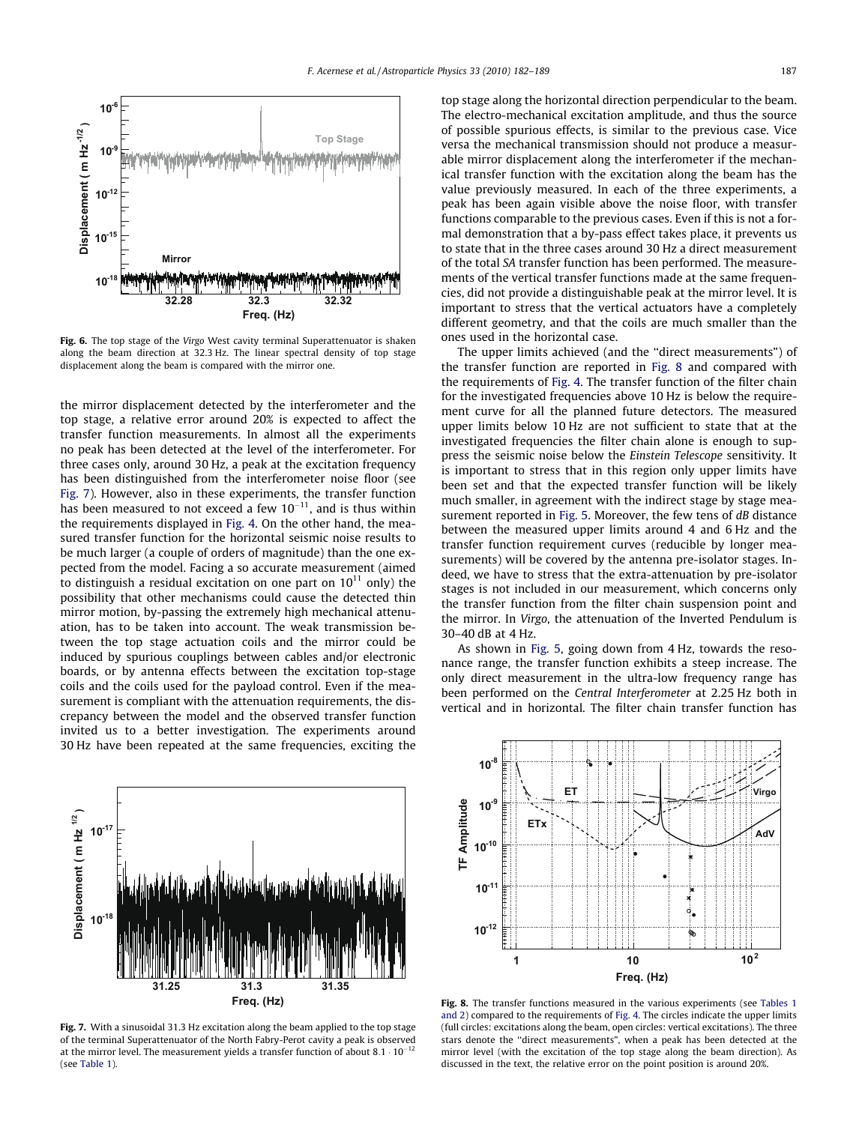<span id="page-5-0"></span>

Fig. 6. The top stage of the Virgo West cavity terminal Superattenuator is shaken along the beam direction at 32.3 Hz. The linear spectral density of top stage displacement along the beam is compared with the mirror one.

the mirror displacement detected by the interferometer and the top stage, a relative error around 20% is expected to affect the transfer function measurements. In almost all the experiments no peak has been detected at the level of the interferometer. For three cases only, around 30 Hz, a peak at the excitation frequency has been distinguished from the interferometer noise floor (see Fig. 7). However, also in these experiments, the transfer function has been measured to not exceed a few  $10^{-11}$ , and is thus within the requirements displayed in [Fig. 4](#page-3-0). On the other hand, the measured transfer function for the horizontal seismic noise results to be much larger (a couple of orders of magnitude) than the one expected from the model. Facing a so accurate measurement (aimed to distinguish a residual excitation on one part on  $10^{11}$  only) the possibility that other mechanisms could cause the detected thin mirror motion, by-passing the extremely high mechanical attenuation, has to be taken into account. The weak transmission between the top stage actuation coils and the mirror could be induced by spurious couplings between cables and/or electronic boards, or by antenna effects between the excitation top-stage coils and the coils used for the payload control. Even if the measurement is compliant with the attenuation requirements, the discrepancy between the model and the observed transfer function invited us to a better investigation. The experiments around 30 Hz have been repeated at the same frequencies, exciting the



Fig. 7. With a sinusoidal 31.3 Hz excitation along the beam applied to the top stage of the terminal Superattenuator of the North Fabry-Perot cavity a peak is observed at the mirror level. The measurement yields a transfer function of about 8.1  $\cdot$  10<sup>-12</sup> (see [Table 1](#page-4-0)).

top stage along the horizontal direction perpendicular to the beam. The electro-mechanical excitation amplitude, and thus the source of possible spurious effects, is similar to the previous case. Vice versa the mechanical transmission should not produce a measurable mirror displacement along the interferometer if the mechanical transfer function with the excitation along the beam has the value previously measured. In each of the three experiments, a peak has been again visible above the noise floor, with transfer functions comparable to the previous cases. Even if this is not a formal demonstration that a by-pass effect takes place, it prevents us to state that in the three cases around 30 Hz a direct measurement of the total SA transfer function has been performed. The measurements of the vertical transfer functions made at the same frequencies, did not provide a distinguishable peak at the mirror level. It is important to stress that the vertical actuators have a completely different geometry, and that the coils are much smaller than the ones used in the horizontal case.

The upper limits achieved (and the ''direct measurements") of the transfer function are reported in Fig. 8 and compared with the requirements of [Fig. 4.](#page-3-0) The transfer function of the filter chain for the investigated frequencies above 10 Hz is below the requirement curve for all the planned future detectors. The measured upper limits below 10 Hz are not sufficient to state that at the investigated frequencies the filter chain alone is enough to suppress the seismic noise below the Einstein Telescope sensitivity. It is important to stress that in this region only upper limits have been set and that the expected transfer function will be likely much smaller, in agreement with the indirect stage by stage measurement reported in [Fig. 5](#page-4-0). Moreover, the few tens of dB distance between the measured upper limits around 4 and 6 Hz and the transfer function requirement curves (reducible by longer measurements) will be covered by the antenna pre-isolator stages. Indeed, we have to stress that the extra-attenuation by pre-isolator stages is not included in our measurement, which concerns only the transfer function from the filter chain suspension point and the mirror. In Virgo, the attenuation of the Inverted Pendulum is 30–40 dB at 4 Hz.

As shown in [Fig. 5,](#page-4-0) going down from 4 Hz, towards the resonance range, the transfer function exhibits a steep increase. The only direct measurement in the ultra-low frequency range has been performed on the Central Interferometer at 2.25 Hz both in vertical and in horizontal. The filter chain transfer function has



Fig. 8. The transfer functions measured in the various experiments (see [Tables 1](#page-4-0) [and 2](#page-4-0)) compared to the requirements of [Fig. 4.](#page-3-0) The circles indicate the upper limits (full circles: excitations along the beam, open circles: vertical excitations). The three stars denote the ''direct measurements", when a peak has been detected at the mirror level (with the excitation of the top stage along the beam direction). As discussed in the text, the relative error on the point position is around 20%.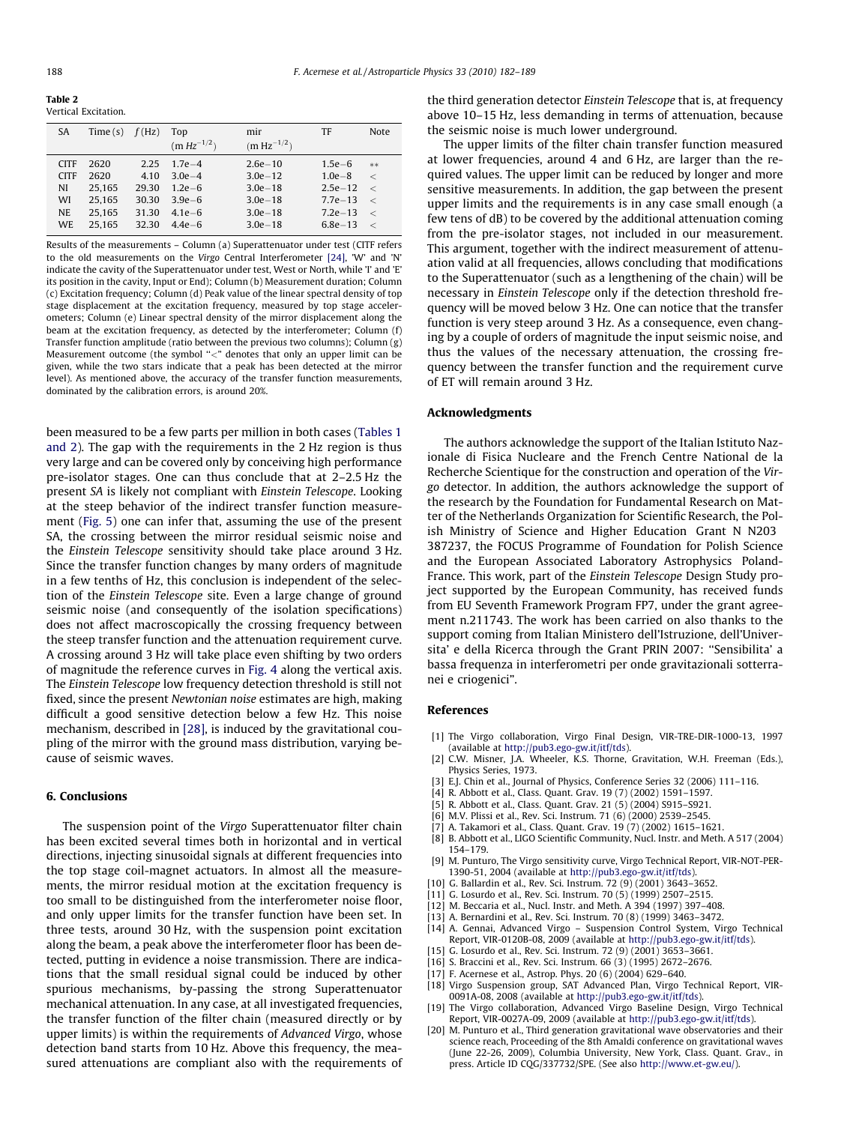<span id="page-6-0"></span>Table 2 Vertical Excitation.

| Note                    |
|-------------------------|
|                         |
| **                      |
| $\epsilon$              |
| $2.5e-12$<br>$\,<$      |
| $7.7e-13$<br>$\epsilon$ |
| $7.2e-13$<br>$\epsilon$ |
| $6.8e-13$<br>$\epsilon$ |
|                         |

Results of the measurements – Column (a) Superattenuator under test (CITF refers to the old measurements on the Virgo Central Interferometer [\[24\],](#page-7-0) 'W' and 'N' indicate the cavity of the Superattenuator under test, West or North, while 'I' and 'E' its position in the cavity, Input or End); Column (b) Measurement duration; Column (c) Excitation frequency; Column (d) Peak value of the linear spectral density of top stage displacement at the excitation frequency, measured by top stage accelerometers; Column (e) Linear spectral density of the mirror displacement along the beam at the excitation frequency, as detected by the interferometer; Column (f) Transfer function amplitude (ratio between the previous two columns); Column (g) Measurement outcome (the symbol "<" denotes that only an upper limit can be given, while the two stars indicate that a peak has been detected at the mirror level). As mentioned above, the accuracy of the transfer function measurements, dominated by the calibration errors, is around 20%.

been measured to be a few parts per million in both cases [\(Tables 1](#page-4-0) [and 2\)](#page-4-0). The gap with the requirements in the 2 Hz region is thus very large and can be covered only by conceiving high performance pre-isolator stages. One can thus conclude that at 2–2.5 Hz the present SA is likely not compliant with Einstein Telescope. Looking at the steep behavior of the indirect transfer function measurement ([Fig. 5](#page-4-0)) one can infer that, assuming the use of the present SA, the crossing between the mirror residual seismic noise and the Einstein Telescope sensitivity should take place around 3 Hz. Since the transfer function changes by many orders of magnitude in a few tenths of Hz, this conclusion is independent of the selection of the Einstein Telescope site. Even a large change of ground seismic noise (and consequently of the isolation specifications) does not affect macroscopically the crossing frequency between the steep transfer function and the attenuation requirement curve. A crossing around 3 Hz will take place even shifting by two orders of magnitude the reference curves in [Fig. 4](#page-3-0) along the vertical axis. The Einstein Telescope low frequency detection threshold is still not fixed, since the present Newtonian noise estimates are high, making difficult a good sensitive detection below a few Hz. This noise mechanism, described in [\[28\],](#page-7-0) is induced by the gravitational coupling of the mirror with the ground mass distribution, varying because of seismic waves.

## 6. Conclusions

The suspension point of the Virgo Superattenuator filter chain has been excited several times both in horizontal and in vertical directions, injecting sinusoidal signals at different frequencies into the top stage coil-magnet actuators. In almost all the measurements, the mirror residual motion at the excitation frequency is too small to be distinguished from the interferometer noise floor, and only upper limits for the transfer function have been set. In three tests, around 30 Hz, with the suspension point excitation along the beam, a peak above the interferometer floor has been detected, putting in evidence a noise transmission. There are indications that the small residual signal could be induced by other spurious mechanisms, by-passing the strong Superattenuator mechanical attenuation. In any case, at all investigated frequencies, the transfer function of the filter chain (measured directly or by upper limits) is within the requirements of Advanced Virgo, whose detection band starts from 10 Hz. Above this frequency, the measured attenuations are compliant also with the requirements of the third generation detector Einstein Telescope that is, at frequency above 10–15 Hz, less demanding in terms of attenuation, because the seismic noise is much lower underground.

The upper limits of the filter chain transfer function measured at lower frequencies, around 4 and 6 Hz, are larger than the required values. The upper limit can be reduced by longer and more sensitive measurements. In addition, the gap between the present upper limits and the requirements is in any case small enough (a few tens of dB) to be covered by the additional attenuation coming from the pre-isolator stages, not included in our measurement. This argument, together with the indirect measurement of attenuation valid at all frequencies, allows concluding that modifications to the Superattenuator (such as a lengthening of the chain) will be necessary in Einstein Telescope only if the detection threshold frequency will be moved below 3 Hz. One can notice that the transfer function is very steep around 3 Hz. As a consequence, even changing by a couple of orders of magnitude the input seismic noise, and thus the values of the necessary attenuation, the crossing frequency between the transfer function and the requirement curve of ET will remain around 3 Hz.

# Acknowledgments

The authors acknowledge the support of the Italian Istituto Nazionale di Fisica Nucleare and the French Centre National de la Recherche Scientique for the construction and operation of the Virgo detector. In addition, the authors acknowledge the support of the research by the Foundation for Fundamental Research on Matter of the Netherlands Organization for Scientific Research, the Polish Ministry of Science and Higher Education Grant N N203 387237, the FOCUS Programme of Foundation for Polish Science and the European Associated Laboratory Astrophysics Poland-France. This work, part of the Einstein Telescope Design Study project supported by the European Community, has received funds from EU Seventh Framework Program FP7, under the grant agreement n.211743. The work has been carried on also thanks to the support coming from Italian Ministero dell'Istruzione, dell'Universita' e della Ricerca through the Grant PRIN 2007: ''Sensibilita' a bassa frequenza in interferometri per onde gravitazionali sotterranei e criogenici".

#### References

- [1] The Virgo collaboration, Virgo Final Design, VIR-TRE-DIR-1000-13, 1997 (available at [http://pub3.ego-gw.it/itf/tds\)](http://pub3.ego-gw.it/itf/tds).
- C.W. Misner, J.A. Wheeler, K.S. Thorne, Gravitation, W.H. Freeman (Eds.), Physics Series, 1973.
- E.J. Chin et al., Journal of Physics, Conference Series 32 (2006) 111-116.
- [4] R. Abbott et al., Class. Quant. Grav. 19 (7) (2002) 1591–1597.
- [5] R. Abbott et al., Class. Quant. Grav. 21 (5) (2004) S915–S921.
- [6] M.V. Plissi et al., Rev. Sci. Instrum. 71 (6) (2000) 2539–2545.
- [7] A. Takamori et al., Class. Quant. Grav. 19 (7) (2002) 1615–1621.
- [8] B. Abbott et al., LIGO Scientific Community, Nucl. Instr. and Meth. A 517 (2004) 154–179.
- [9] M. Punturo, The Virgo sensitivity curve, Virgo Technical Report, VIR-NOT-PER-1390-51, 2004 (available at <http://pub3.ego-gw.it/itf/tds>).
- [10] G. Ballardin et al., Rev. Sci. Instrum. 72 (9) (2001) 3643–3652.
- [11] G. Losurdo et al., Rev. Sci. Instrum. 70 (5) (1999) 2507–2515.
- [12] M. Beccaria et al., Nucl. Instr. and Meth. A 394 (1997) 397–408.
- [13] A. Bernardini et al., Rev. Sci. Instrum. 70 (8) (1999) 3463–3472. [14] A. Gennai, Advanced Virgo – Suspension Control System, Virgo Technical
- Report, VIR-0120B-08, 2009 (available at <http://pub3.ego-gw.it/itf/tds>).
- [15] G. Losurdo et al., Rev. Sci. Instrum. 72 (9) (2001) 3653-3661
- [16] S. Braccini et al., Rev. Sci. Instrum. 66 (3) (1995) 2672–2676.
- [17] F. Acernese et al., Astrop. Phys. 20 (6) (2004) 629–640.
- [18] Virgo Suspension group, SAT Advanced Plan, Virgo Technical Report, VIR-0091A-08, 2008 (available at [http://pub3.ego-gw.it/itf/tds\)](http://pub3.ego-gw.it/itf/tds).
- [19] The Virgo collaboration, Advanced Virgo Baseline Design, Virgo Technical Report, VIR-0027A-09, 2009 (available at [http://pub3.ego-gw.it/itf/tds\)](http://pub3.ego-gw.it/itf/tds).
- [20] M. Punturo et al., Third generation gravitational wave observatories and their science reach, Proceeding of the 8th Amaldi conference on gravitational waves (June 22-26, 2009), Columbia University, New York, Class. Quant. Grav., in press. Article ID CQG/337732/SPE. (See also [http://www.et-gw.eu/\)](http://www.et-gw.eu/).